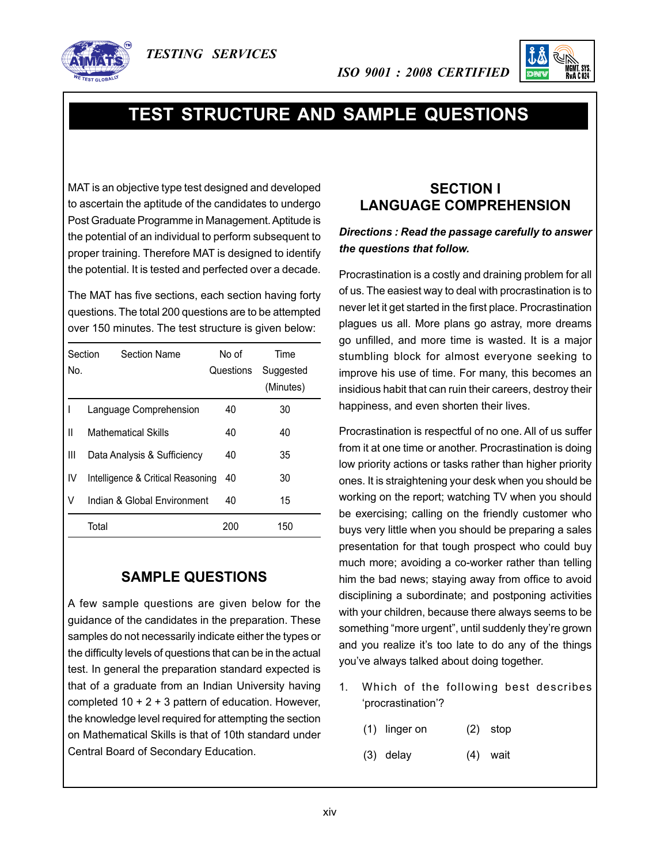





# **Test Structure and Sample Questions**

MAT is an objective type test designed and developed to ascertain the aptitude of the candidates to undergo Post Graduate Programme in Management. Aptitude is the potential of an individual to perform subsequent to proper training. Therefore MAT is designed to identify the potential. It is tested and perfected over a decade.

The MAT has five sections, each section having forty questions. The total 200 questions are to be attempted over 150 minutes. The test structure is given below:

| Section<br>No. | <b>Section Name</b>               | No of<br>Questions | Time<br>Suggested |
|----------------|-----------------------------------|--------------------|-------------------|
|                |                                   |                    | (Minutes)         |
|                | Language Comprehension            | 40                 | 30                |
| $\mathbf{I}$   | <b>Mathematical Skills</b>        | 40                 | 40                |
| Ш              | Data Analysis & Sufficiency       | 40                 | 35                |
| IV             | Intelligence & Critical Reasoning | 40                 | 30                |
| V              | Indian & Global Environment       | 40                 | 15                |
|                | Total                             | 200                | 150               |

### **SAMPLE QUESTIONS**

A few sample questions are given below for the guidance of the candidates in the preparation. These samples do not necessarily indicate either the types or the difficulty levels of questions that can be in the actual test. In general the preparation standard expected is that of a graduate from an Indian University having completed  $10 + 2 + 3$  pattern of education. However, the knowledge level required for attempting the section on Mathematical Skills is that of 10th standard under Central Board of Secondary Education.

## **SECTION I LANGUAGE COMPREHENSION**

*ISO 9001 : 2008 certified*

#### *Directions : Read the passage carefully to answer the questions that follow.*

Procrastination is a costly and draining problem for all of us. The easiest way to deal with procrastination is to never let it get started in the first place. Procrastination plagues us all. More plans go astray, more dreams go unfilled, and more time is wasted. It is a major stumbling block for almost everyone seeking to improve his use of time. For many, this becomes an insidious habit that can ruin their careers, destroy their happiness, and even shorten their lives.

Procrastination is respectful of no one. All of us suffer from it at one time or another. Procrastination is doing low priority actions or tasks rather than higher priority ones. It is straightening your desk when you should be working on the report; watching TV when you should be exercising; calling on the friendly customer who buys very little when you should be preparing a sales presentation for that tough prospect who could buy much more; avoiding a co-worker rather than telling him the bad news; staying away from office to avoid disciplining a subordinate; and postponing activities with your children, because there always seems to be something "more urgent", until suddenly they're grown and you realize it's too late to do any of the things you've always talked about doing together.

- 1. Which of the following best describes 'procrastination'?
	- $(1)$  linger on  $(2)$  stop
	- $(3)$  delay  $(4)$  wait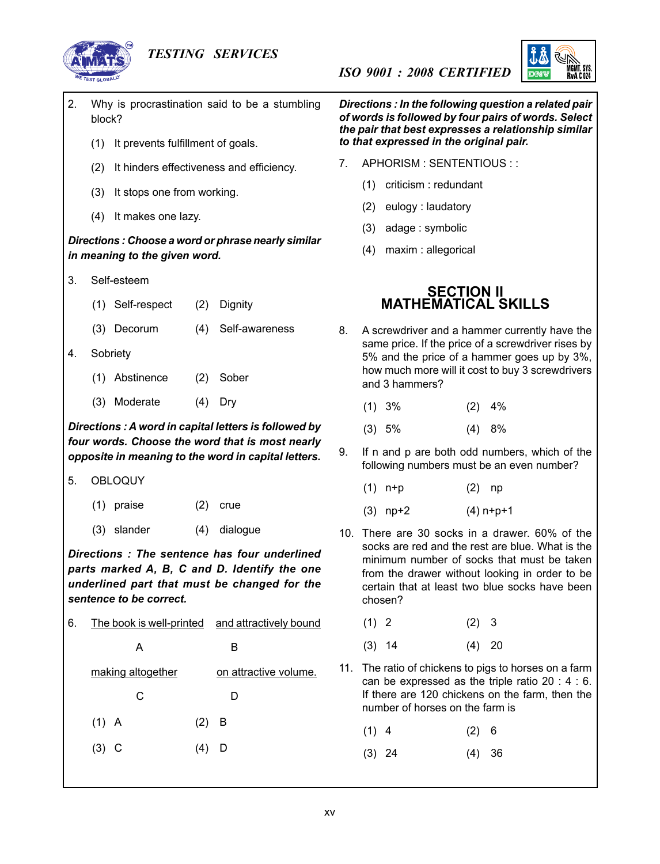#### *Testing Services*



MGMT. SYS<br>Rva C.024

- 2. Why is procrastination said to be a stumbling block?
	- (1) It prevents fulfillment of goals.
	- (2) It hinders effectiveness and efficiency.
	- (3) It stops one from working.
	- (4) It makes one lazy.

#### *Directions : Choose a word or phrase nearly similar in meaning to the given word.*

- 3. Self-esteem
	- (1) Self-respect (2) Dignity
	- (3) Decorum (4) Self-awareness
- 4. Sobriety
	- (1) Abstinence (2) Sober
	- (3) Moderate (4) Dry

*Directions : A word in capital letters is followed by four words. Choose the word that is most nearly opposite in meaning to the word in capital letters.*

- 5. OBLOQUY
	- (1) praise (2) crue
	- (3) slander (4) dialogue

*Directions : The sentence has four underlined parts marked A, B, C and D. Identify the one underlined part that must be changed for the sentence to be correct.*

6. The book is well-printed and attractively bound

# A B making altogether on attractive volume. C D  $(1)$  A  $(2)$  B

 $(3)$  C  $(4)$  D

*Directions : In the following question a related pair of words is followed by four pairs of words. Select the pair that best expresses a relationship similar to that expressed in the original pair.*

7. APHORISM : SENTENTIOUS : :

*ISO 9001 : 2008 certified*

- (1) criticism : redundant
- (2) eulogy : laudatory
- (3) adage : symbolic
- (4) maxim : allegorical

#### **SECTION II MATHEMATICAL SKILLS**

- 8. A screwdriver and a hammer currently have the same price. If the price of a screwdriver rises by 5% and the price of a hammer goes up by 3%, how much more will it cost to buy 3 screwdrivers and 3 hammers?
	- $(1)$  3%  $(2)$  4%
	- $(3)$  5%  $(4)$  8%
- 9. If n and p are both odd numbers, which of the following numbers must be an even number?
	- $(1)$  n+p  $(2)$  np
	- $(3)$  np+2  $(4)$  n+p+1
- 10. There are 30 socks in a drawer. 60% of the socks are red and the rest are blue. What is the minimum number of socks that must be taken from the drawer without looking in order to be certain that at least two blue socks have been chosen?
	- $(1)$  2  $(2)$  3
	- $(3)$  14  $(4)$  20
- 11. The ratio of chickens to pigs to horses on a farm can be expressed as the triple ratio 20 : 4 : 6. If there are 120 chickens on the farm, then the number of horses on the farm is
	- $(1)$  4  $(2)$  6
	- $(3)$  24  $(4)$  36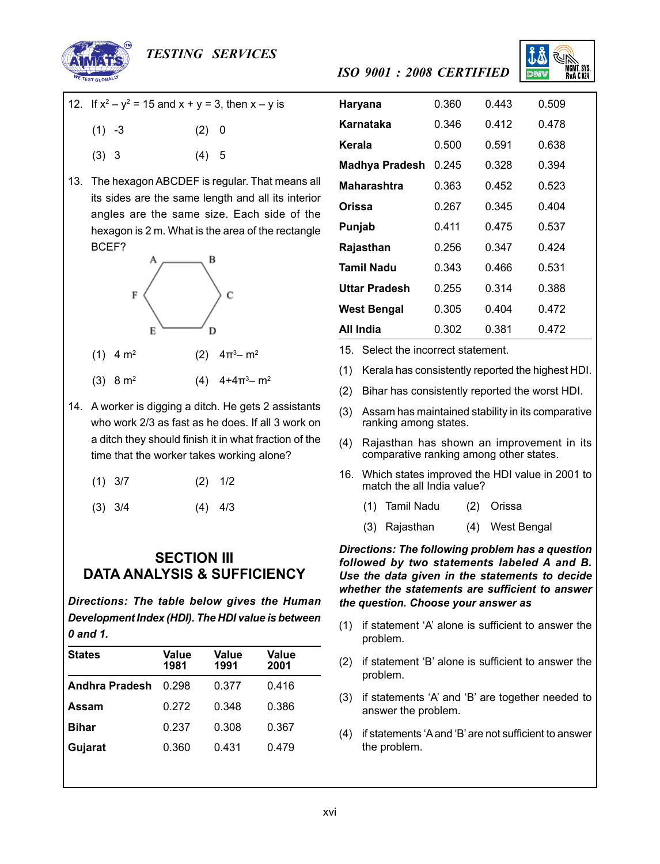

#### *Testing Services*

- 12. If  $x^2 y^2 = 15$  and  $x + y = 3$ , then  $x y$  is
	- $(1)$   $-3$   $(2)$  0
		- $(3)$  3  $(4)$  5
- 13. The hexagon ABCDEF is regular. That means all its sides are the same length and all its interior angles are the same size. Each side of the hexagon is 2 m. What is the area of the rectangle BCEF?



- $(1)$  4 m<sup>2</sup>
- (3) 8 m<sup>2</sup> (4) 4+4 $\pi$ <sup>3</sup>– m<sup>2</sup>
- 14. A worker is digging a ditch. He gets 2 assistants who work 2/3 as fast as he does. If all 3 work on a ditch they should finish it in what fraction of the time that the worker takes working alone?

| $(1)$ 3/7 |  | $(2)$ 1/2 |
|-----------|--|-----------|
|           |  |           |

 $(3)$   $3/4$   $(4)$   $4/3$ 

#### **SECTION III DATA ANALYSIS & SUFFICIENCY**

*Directions: The table below gives the Human Development Index (HDI). The HDI value is between 0 and 1.*

| <b>States</b>         | Value<br>1981 | Value<br>1991 | Value<br>2001 |
|-----------------------|---------------|---------------|---------------|
| <b>Andhra Pradesh</b> | በ 298         | 0.377         | 0.416         |
| Assam                 | 0.272         | 0.348         | 0.386         |
| <b>Bihar</b>          | 0.237         | 0.308         | 0.367         |
| Gujarat               | 0.360         | 0.431         | 0.479         |

| Haryana               | 0.360 | 0.443 | 0.509 |
|-----------------------|-------|-------|-------|
| Karnataka             | 0.346 | 0.412 | 0.478 |
| Kerala                | 0.500 | 0.591 | 0.638 |
| <b>Madhya Pradesh</b> | 0.245 | 0.328 | 0.394 |
| Maharashtra           | 0.363 | 0.452 | 0.523 |
| Orissa                | 0.267 | 0.345 | 0.404 |
| Punjab                | 0.411 | 0.475 | 0.537 |
| Rajasthan             | 0.256 | 0.347 | 0.424 |
| <b>Tamil Nadu</b>     | 0.343 | 0.466 | 0.531 |
| <b>Uttar Pradesh</b>  | 0.255 | 0.314 | 0.388 |
| <b>West Bengal</b>    | 0.305 | 0.404 | 0.472 |
| All India             | 0.302 | 0.381 | 0.472 |

15. Select the incorrect statement.

- (1) Kerala has consistently reported the highest HDI.
- (2) Bihar has consistently reported the worst HDI.
- (3) Assam has maintained stability in its comparative ranking among states.
- (4) Rajasthan has shown an improvement in its comparative ranking among other states.
- 16. Which states improved the HDI value in 2001 to match the all India value?
	- (1) Tamil Nadu (2) Orissa
	- (3) Rajasthan (4) West Bengal

*Directions: The following problem has a question followed by two statements labeled A and B. Use the data given in the statements to decide whether the statements are sufficient to answer the question. Choose your answer as*

- (1) if statement 'A' alone is sufficient to answer the problem.
- (2) if statement 'B' alone is sufficient to answer the problem.
- (3) if statements 'A' and 'B' are together needed to answer the problem.
- (4) if statements 'Aand 'B' are not sufficient to answer the problem.

# *ISO 9001 : 2008 certified*

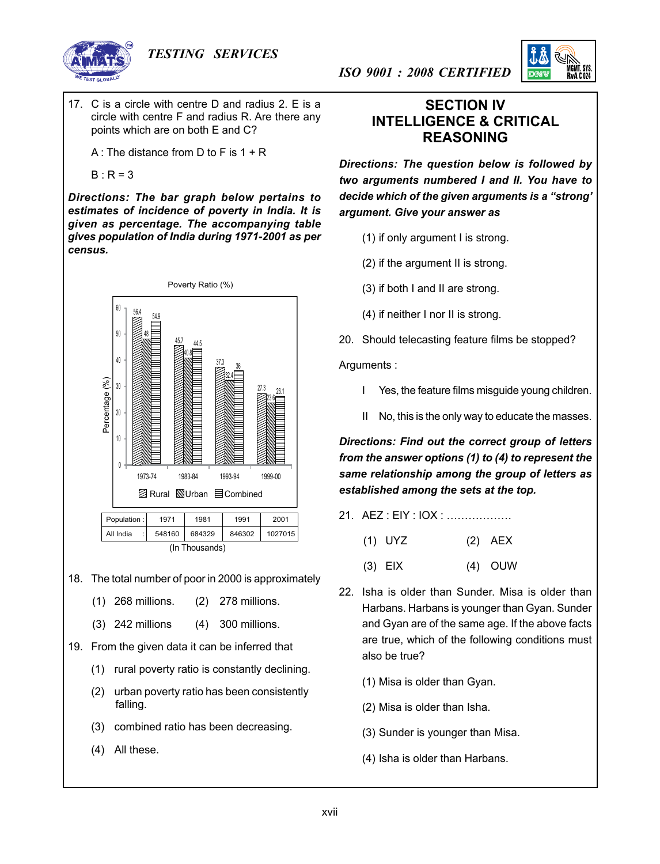





17. C is a circle with centre D and radius 2. E is a circle with centre F and radius R. Are there any points which are on both E and C?

 A : The distance from D to F is 1 + R

$$
B : R = 3
$$

*Directions: The bar graph below pertains to estimates of incidence of poverty in India. It is given as percentage. The accompanying table gives population of India during 1971-2001 as per census.*



18. The total number of poor in 2000 is approximately

- (1) 268 millions. (2) 278 millions.
- (3) 242 millions (4) 300 millions.
- 19. From the given data it can be inferred that
	- (1) rural poverty ratio is constantly declining.
	- (2) urban poverty ratio has been consistently falling.
	- (3) combined ratio has been decreasing.
	- (4) All these.

### **SECTION IV INTELLIGENCE & CRITICAL REASONING**

*Directions: The question below is followed by two arguments numbered I and II. You have to decide which of the given arguments is a "strong' argument. Give your answer as* 

 $(1)$  if only argument I is strong.

*ISO 9001 : 2008 certified*

- (2) if the argument II is strong.
- (3) if both I and II are strong.
- (4) if neither I nor II is strong.

20. Should telecasting feature films be stopped?

Arguments :

- I Yes, the feature films misguide young children.
- II No, this is the only way to educate the masses.

*Directions: Find out the correct group of letters from the answer options (1) to (4) to represent the same relationship among the group of letters as established among the sets at the top.*

- 21. AEZ : EIY : IOX : ………………
	- (1) UYZ (2) AEX
	- (3) EIX (4) OUW
- 22. Isha is older than Sunder. Misa is older than Harbans. Harbans is younger than Gyan. Sunder and Gyan are of the same age. If the above facts are true, which of the following conditions must also be true?
	- (1) Misa is older than Gyan.
	- (2) Misa is older than Isha.
	- (3) Sunder is younger than Misa.
	- (4) Isha is older than Harbans.